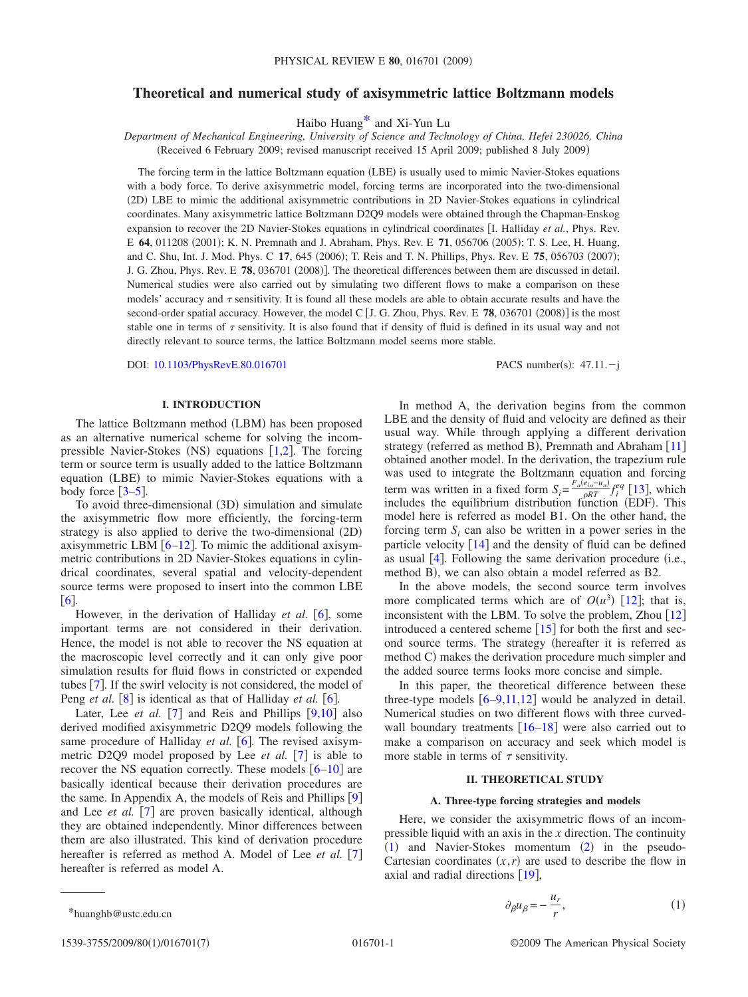# **Theoretical and numerical study of axisymmetric lattice Boltzmann models**

Haibo Huan[g\\*](#page-0-0) and Xi-Yun Lu

*Department of Mechanical Engineering, University of Science and Technology of China, Hefei 230026, China* (Received 6 February 2009; revised manuscript received 15 April 2009; published 8 July 2009)

The forcing term in the lattice Boltzmann equation (LBE) is usually used to mimic Navier-Stokes equations with a body force. To derive axisymmetric model, forcing terms are incorporated into the two-dimensional (2D) LBE to mimic the additional axisymmetric contributions in 2D Navier-Stokes equations in cylindrical coordinates. Many axisymmetric lattice Boltzmann D2Q9 models were obtained through the Chapman-Enskog expansion to recover the 2D Navier-Stokes equations in cylindrical coordinates I. Halliday *et al.*, Phys. Rev. E **64**, 011208 (2001); K. N. Premnath and J. Abraham, Phys. Rev. E **71**, 056706 (2005); T. S. Lee, H. Huang, and C. Shu, Int. J. Mod. Phys. C 17, 645 (2006); T. Reis and T. N. Phillips, Phys. Rev. E 75, 056703 (2007); J. G. Zhou, Phys. Rev. E **78**, 036701 (2008)]. The theoretical differences between them are discussed in detail. Numerical studies were also carried out by simulating two different flows to make a comparison on these models' accuracy and  $\tau$  sensitivity. It is found all these models are able to obtain accurate results and have the second-order spatial accuracy. However, the model C [J. G. Zhou, Phys. Rev. E **78**, 036701 (2008)] is the most stable one in terms of  $\tau$  sensitivity. It is also found that if density of fluid is defined in its usual way and not directly relevant to source terms, the lattice Boltzmann model seems more stable.

DOI: [10.1103/PhysRevE.80.016701](http://dx.doi.org/10.1103/PhysRevE.80.016701)

: 47.11.-j

# **I. INTRODUCTION**

The lattice Boltzmann method (LBM) has been proposed as an alternative numerical scheme for solving the incompressible Navier-Stokes (NS) equations  $[1,2]$  $[1,2]$  $[1,2]$  $[1,2]$ . The forcing term or source term is usually added to the lattice Boltzmann equation (LBE) to mimic Navier-Stokes equations with a body force  $\lceil 3-5 \rceil$  $\lceil 3-5 \rceil$  $\lceil 3-5 \rceil$ .

To avoid three-dimensional (3D) simulation and simulate the axisymmetric flow more efficiently, the forcing-term strategy is also applied to derive the two-dimensional (2D) axisymmetric LBM  $[6–12]$  $[6–12]$  $[6–12]$  $[6–12]$ . To mimic the additional axisymmetric contributions in 2D Navier-Stokes equations in cylindrical coordinates, several spatial and velocity-dependent source terms were proposed to insert into the common LBE  $\lceil 6 \rceil$  $\lceil 6 \rceil$  $\lceil 6 \rceil$ .

However, in the derivation of Halliday *et al.* [[6](#page-6-4)], some important terms are not considered in their derivation. Hence, the model is not able to recover the NS equation at the macroscopic level correctly and it can only give poor simulation results for fluid flows in constricted or expended tubes  $[7]$  $[7]$  $[7]$ . If the swirl velocity is not considered, the model of Peng *et al.* [[8](#page-6-7)] is identical as that of Halliday *et al.* [[6](#page-6-4)].

Later, Lee *et al.* [[7](#page-6-6)] and Reis and Phillips  $\overline{[9,10]}$  $\overline{[9,10]}$  $\overline{[9,10]}$  $\overline{[9,10]}$  also derived modified axisymmetric D2Q9 models following the same procedure of Halliday *et al.* [[6](#page-6-4)]. The revised axisymmetric D2Q9 model proposed by Lee *et al.* [[7](#page-6-6)] is able to recover the NS equation correctly. These models  $[6-10]$  $[6-10]$  $[6-10]$  are basically identical because their derivation procedures are the same. In Appendix A, the models of Reis and Phillips  $[9]$  $[9]$  $[9]$ and Lee *et al.* [[7](#page-6-6)] are proven basically identical, although they are obtained independently. Minor differences between them are also illustrated. This kind of derivation procedure hereafter is referred as method A. Model of Lee *et al.* [[7](#page-6-6)] hereafter is referred as model A.

In method A, the derivation begins from the common LBE and the density of fluid and velocity are defined as their usual way. While through applying a different derivation strategy (referred as method B), Premnath and Abraham [[11](#page-6-10)] obtained another model. In the derivation, the trapezium rule was used to integrate the Boltzmann equation and forcing term was written in a fixed form  $S_i = \frac{F_a(e_{ia} - u_a)}{e^{RT}} f_i^q$  [[13](#page-6-11)], which includes the equilibrium distribution function (EDF). This model here is referred as model B1. On the other hand, the forcing term  $S_i$  can also be written in a power series in the particle velocity  $[14]$  $[14]$  $[14]$  and the density of fluid can be defined as usual  $[4]$  $[4]$  $[4]$ . Following the same derivation procedure (i.e., method B), we can also obtain a model referred as B2.

In the above models, the second source term involves more complicated terms which are of  $O(u^3)$  [[12](#page-6-5)]; that is, inconsistent with the LBM. To solve the problem, Zhou  $\lceil 12 \rceil$  $\lceil 12 \rceil$  $\lceil 12 \rceil$ introduced a centered scheme  $\lceil 15 \rceil$  $\lceil 15 \rceil$  $\lceil 15 \rceil$  for both the first and second source terms. The strategy (hereafter it is referred as method C) makes the derivation procedure much simpler and the added source terms looks more concise and simple.

In this paper, the theoretical difference between these three-type models  $[6-9,11,12]$  $[6-9,11,12]$  $[6-9,11,12]$  $[6-9,11,12]$  $[6-9,11,12]$  $[6-9,11,12]$  would be analyzed in detail. Numerical studies on two different flows with three curvedwall boundary treatments  $\lceil 16-18 \rceil$  $\lceil 16-18 \rceil$  $\lceil 16-18 \rceil$  were also carried out to make a comparison on accuracy and seek which model is more stable in terms of  $\tau$  sensitivity.

### **II. THEORETICAL STUDY**

## **A. Three-type forcing strategies and models**

<span id="page-0-1"></span>Here, we consider the axisymmetric flows of an incompressible liquid with an axis in the *x* direction. The continuity ([1](#page-0-1)) and Navier-Stokes momentum ([2](#page-1-0)) in the pseudo-Cartesian coordinates  $(x, r)$  are used to describe the flow in axial and radial directions  $[19]$  $[19]$  $[19]$ ,

$$
\partial_{\beta} u_{\beta} = -\frac{u_r}{r},\tag{1}
$$

<span id="page-0-0"></span>\*huanghb@ustc.edu.cn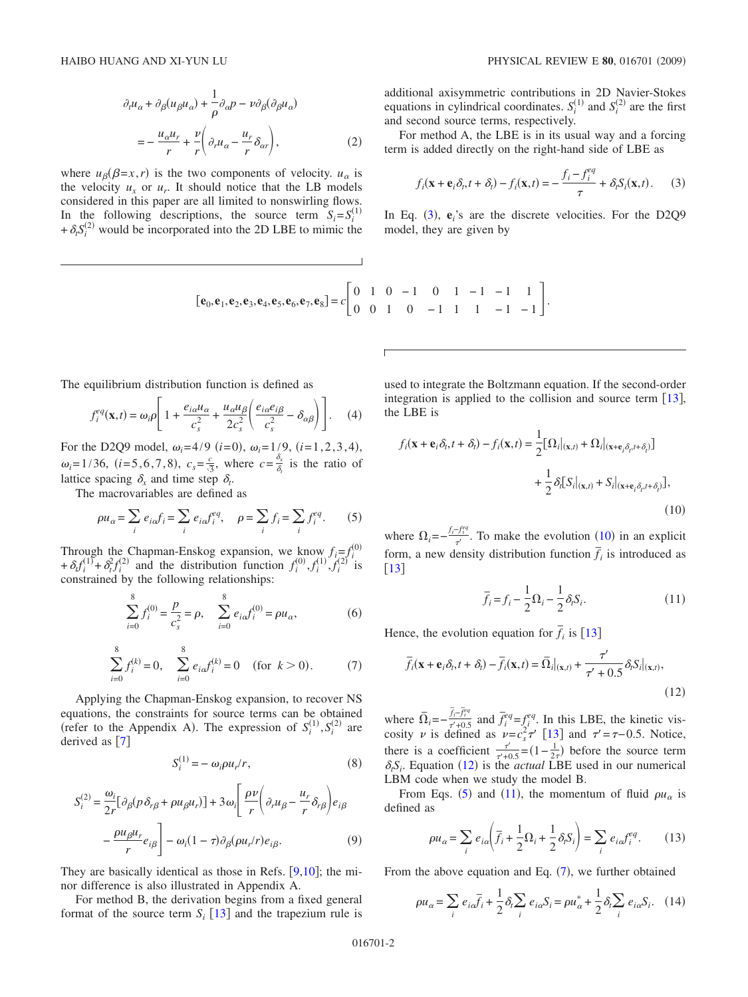$$
\partial_t u_\alpha + \partial_\beta (u_\beta u_\alpha) + \frac{1}{\rho} \partial_\alpha p - \nu \partial_\beta (\partial_\beta u_\alpha)
$$
  
= 
$$
-\frac{u_\alpha u_r}{r} + \frac{\nu}{r} \left( \partial_r u_\alpha - \frac{u_r}{r} \delta_{\alpha r} \right),
$$
 (2)

<span id="page-1-0"></span>where  $u_{\beta}(\beta=x,r)$  is the two components of velocity.  $u_{\alpha}$  is the velocity  $u_x$  or  $u_y$ . It should notice that the LB models considered in this paper are all limited to nonswirling flows. In the following descriptions, the source term  $S_i = S_i^{(1)}$ + $\delta_t S_i^{(2)}$  would be incorporated into the 2D LBE to mimic the

additional axisymmetric contributions in 2D Navier-Stokes equations in cylindrical coordinates.  $S_i^{(1)}$  and  $S_i^{(2)}$  are the first and second source terms, respectively.

For method A, the LBE is in its usual way and a forcing term is added directly on the right-hand side of LBE as

$$
f_i(\mathbf{x} + \mathbf{e}_i \delta_t, t + \delta_t) - f_i(\mathbf{x}, t) = -\frac{f_i - f_i^{eq}}{\tau} + \delta_i S_i(\mathbf{x}, t).
$$
 (3)

<span id="page-1-1"></span>In Eq. ([3](#page-1-1)),  $e_i$ 's are the discrete velocities. For the D2Q9 model, they are given by

$$
[\mathbf{e}_0, \mathbf{e}_1, \mathbf{e}_2, \mathbf{e}_3, \mathbf{e}_4, \mathbf{e}_5, \mathbf{e}_6, \mathbf{e}_7, \mathbf{e}_8] = c \begin{bmatrix} 0 & 1 & 0 & -1 & 0 & 1 & -1 & -1 & 1 \\ 0 & 0 & 1 & 0 & -1 & 1 & 1 & -1 & -1 \end{bmatrix}.
$$

The equilibrium distribution function is defined as

$$
f_i^{eq}(\mathbf{x},t) = \omega_i \rho \left[ 1 + \frac{e_{i\alpha} u_{\alpha}}{c_s^2} + \frac{u_{\alpha} u_{\beta}}{2c_s^2} \left( \frac{e_{i\alpha} e_{i\beta}}{c_s^2} - \delta_{\alpha\beta} \right) \right].
$$
 (4)

For the D2Q9 model,  $\omega_i = 4/9$  (*i*=0),  $\omega_i = 1/9$ , (*i*=1,2,3,4),  $\omega_i = 1/36$ ,  $(i=5,6,7,8)$ ,  $c_s = \frac{c}{\sqrt{3}}$ , where  $c = \frac{\delta_x}{\delta_i}$  is the ratio of lattice spacing  $\delta_x$  and time step  $\delta_t$ .

The macrovariables are defined as

$$
\rho u_{\alpha} = \sum_{i} e_{i\alpha} f_i = \sum_{i} e_{i\alpha} f_i^{eq}, \quad \rho = \sum_{i} f_i = \sum_{i} f_i^{eq}.
$$
 (5)

<span id="page-1-4"></span>Through the Chapman-Enskog expansion, we know  $f_i = f_i^{(0)}$ +  $\delta_t f_i^{(1)} + \delta_t^2 f_i^{(2)}$  and the distribution function  $f_i^{(0)}, f_i^{(1)}, f_i^{(2)}$  is constrained by the following relationships:

$$
\sum_{i=0}^{8} f_i^{(0)} = \frac{p}{c_s^2} = \rho, \quad \sum_{i=0}^{8} e_{i\alpha} f_i^{(0)} = \rho u_{\alpha}, \tag{6}
$$

$$
\sum_{i=0}^{8} f_i^{(k)} = 0, \quad \sum_{i=0}^{8} e_{i\alpha} f_i^{(k)} = 0 \quad \text{(for } k > 0). \tag{7}
$$

<span id="page-1-6"></span>Applying the Chapman-Enskog expansion, to recover NS equations, the constraints for source terms can be obtained (refer to the Appendix A). The expression of  $S_i^{(1)}, S_i^{(2)}$  are derived as  $\lceil 7 \rceil$  $\lceil 7 \rceil$  $\lceil 7 \rceil$ 

$$
S_i^{(1)} = -\omega_i \rho u_r / r,\tag{8}
$$

$$
S_i^{(2)} = \frac{\omega_i}{2r} [\partial_\beta (p \,\delta_{r\beta} + \rho u_\beta u_r)] + 3\omega_i \left[ \frac{\rho \nu}{r} \left( \partial_r u_\beta - \frac{u_r}{r} \delta_{r\beta} \right) e_{i\beta} \right] - \frac{\rho u_\beta u_r}{r} e_{i\beta} \left] - \omega_i (1 - \tau) \partial_\beta (\rho u_r/r) e_{i\beta}.
$$
 (9)

They are basically identical as those in Refs.  $[9,10]$  $[9,10]$  $[9,10]$  $[9,10]$ ; the minor difference is also illustrated in Appendix A.

For method B, the derivation begins from a fixed general format of the source term  $S_i$  [[13](#page-6-11)] and the trapezium rule is used to integrate the Boltzmann equation. If the second-order integration is applied to the collision and source term  $[13]$  $[13]$  $[13]$ , the LBE is

<span id="page-1-2"></span>
$$
f_i(\mathbf{x} + \mathbf{e}_i \delta_t, t + \delta_i) - f_i(\mathbf{x}, t) = \frac{1}{2} [\Omega_i|_{(\mathbf{x}, t)} + \Omega_i|_{(\mathbf{x} + \mathbf{e}_i \delta_t, t + \delta_i)}]
$$
  
+ 
$$
\frac{1}{2} \delta_i [S_i|_{(\mathbf{x}, t)} + S_i|_{(\mathbf{x} + \mathbf{e}_i \delta_t, t + \delta_i)}],
$$
  
(10)

where  $\Omega_i = -\frac{f_i - f_i^{\text{eq}}}{\tau}$ . To make the evolution ([10](#page-1-2)) in an explicit form, a new density distribution function  $\overline{f}_i$  is introduced as  $\lceil 13 \rceil$  $\lceil 13 \rceil$  $\lceil 13 \rceil$ 

$$
\overline{f}_i = f_i - \frac{1}{2}\Omega_i - \frac{1}{2}\delta_i S_i.
$$
\n(11)

<span id="page-1-5"></span>Hence, the evolution equation for  $\overline{f}_i$  is [[13](#page-6-11)]

<span id="page-1-3"></span>
$$
\overline{f}_i(\mathbf{x} + \mathbf{e}_i \delta_t, t + \delta_t) - \overline{f}_i(\mathbf{x}, t) = \overline{\Omega}_i|_{(\mathbf{x}, t)} + \frac{\tau'}{\tau' + 0.5} \delta_t S_i|_{(\mathbf{x}, t)},
$$
\n(12)

where  $\overline{\Omega}_i = -\frac{\overline{f}_i - \overline{f}_i^{eq}}{\tau^2 + 0.5}$  and  $\overline{f}_i^{eq} = f_i^{eq}$ . In this LBE, the kinetic viscosity  $\nu$  is defined as  $\nu = c_s^2 \tau'$  [[13](#page-6-11)] and  $\tau' = \tau - 0.5$ . Notice, there is a coefficient  $\frac{\tau'}{\tau'+0.5} = (1 - \frac{1}{2\tau})$  before the source term  $\delta_t S_i$ . Equation ([12](#page-1-3)) is the *actual* LBE used in our numerical LBM code when we study the model B.

From Eqs. ([5](#page-1-4)) and ([11](#page-1-5)), the momentum of fluid  $\rho u_{\alpha}$  is defined as

$$
\rho u_{\alpha} = \sum_{i} e_{i\alpha} \left( \overline{f}_{i} + \frac{1}{2} \Omega_{i} + \frac{1}{2} \delta_{i} S_{i} \right) = \sum_{i} e_{i\alpha} f_{i}^{eq}.
$$
 (13)

From the above equation and Eq.  $(7)$  $(7)$  $(7)$ , we further obtained

<span id="page-1-7"></span>
$$
\rho u_{\alpha} = \sum_{i} e_{i\alpha} \overline{f}_{i} + \frac{1}{2} \delta_{i} \sum_{i} e_{i\alpha} S_{i} = \rho u_{\alpha}^{*} + \frac{1}{2} \delta_{i} \sum_{i} e_{i\alpha} S_{i}. \quad (14)
$$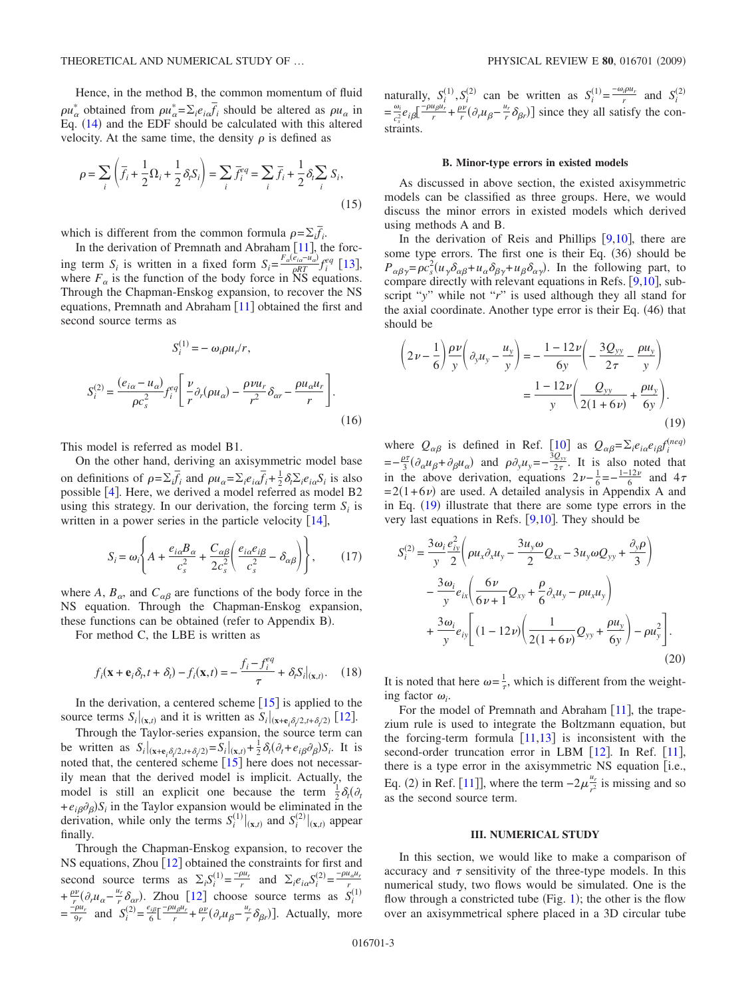Hence, in the method B, the common momentum of fluid  $\rho u_{\alpha}^{*}$  obtained from  $\rho u_{\alpha}^{*} = \sum_{i} e_{i} \overline{f}_{i}$  should be altered as  $\rho u_{\alpha}$  in Eq. ([14](#page-1-7)) and the EDF should be calculated with this altered velocity. At the same time, the density  $\rho$  is defined as

$$
\rho = \sum_{i} \left( \overline{f}_i + \frac{1}{2} \Omega_i + \frac{1}{2} \delta_i S_i \right) = \sum_{i} \overline{f}_i^{\neq q} = \sum_{i} \overline{f}_i + \frac{1}{2} \delta_i \sum_{i} S_i,
$$
\n(15)

which is different from the common formula  $\rho = \sum_i \overline{f_i}$ .

In the derivation of Premnath and Abraham  $[11]$  $[11]$  $[11]$ , the forcing term *S<sub>i</sub>* is written in a fixed form  $S_i = \frac{F_a(e_{ia} - u_a)}{\rho RT} f_i^e$  [[13](#page-6-11)], where  $F_\alpha$  is the function of the body force in NS equations. Through the Chapman-Enskog expansion, to recover the NS equations, Premnath and Abraham  $\lceil 11 \rceil$  $\lceil 11 \rceil$  $\lceil 11 \rceil$  obtained the first and second source terms as

$$
S_i^{(1)} = -\omega_i \rho u_r / r,
$$
  
\n
$$
S_i^{(2)} = \frac{(e_{i\alpha} - u_{\alpha})}{\rho c_s^2} f_i^{eq} \left[ \frac{\nu}{r} \partial_r (\rho u_{\alpha}) - \frac{\rho \nu u_r}{r^2} \delta_{\alpha r} - \frac{\rho u_{\alpha} u_r}{r} \right].
$$
\n(16)

This model is referred as model B1.

On the other hand, deriving an axisymmetric model base on definitions of  $\rho = \sum_i \overline{f_i}$  and  $\rho u_\alpha = \sum_i e_{i\alpha} \overline{f_i} + \frac{1}{2} \delta_i \sum_i e_{i\alpha} S_i$  is also possible  $[4]$  $[4]$  $[4]$ . Here, we derived a model referred as model B2 using this strategy. In our derivation, the forcing term  $S_i$  is written in a power series in the particle velocity  $[14]$  $[14]$  $[14]$ ,

$$
S_i = \omega_i \left\{ A + \frac{e_{i\alpha} B_{\alpha}}{c_s^2} + \frac{C_{\alpha\beta}}{2c_s^2} \left( \frac{e_{i\alpha} e_{i\beta}}{c_s^2} - \delta_{\alpha\beta} \right) \right\},\qquad(17)
$$

<span id="page-2-2"></span>where *A*,  $B_{\alpha}$ , and  $C_{\alpha\beta}$  are functions of the body force in the NS equation. Through the Chapman-Enskog expansion, these functions can be obtained (refer to Appendix B).

For method C, the LBE is written as

$$
f_i(\mathbf{x} + \mathbf{e}_i \delta_t, t + \delta_t) - f_i(\mathbf{x}, t) = -\frac{f_i - f_i^{eq}}{\tau} + \delta_t S_i|_{(\mathbf{x}, t)}.
$$
 (18)

In the derivation, a centered scheme  $[15]$  $[15]$  $[15]$  is applied to the source terms  $S_i|_{(\mathbf{x},t)}$  and it is written as  $S_i|_{(\mathbf{x}+\mathbf{e}_i\delta_i/2,t+\delta_i/2)}$  [[12](#page-6-5)].

Through the Taylor-series expansion, the source term can be written as  $S_i|_{(\mathbf{x}+\mathbf{e}_i\delta_i/2,t+\delta_i/2)} = S_i|_{(\mathbf{x},t)} + \frac{1}{2}\delta_i(\partial_t + e_{i\beta}\partial_\beta)S_i$ . It is noted that, the centered scheme  $[15]$  $[15]$  $[15]$  here does not necessarily mean that the derived model is implicit. Actually, the model is still an explicit one because the term  $\frac{1}{2}\delta_t(\partial_t)$  $+e_{i\beta}\partial_{\beta}S_i$  in the Taylor expansion would be eliminated in the derivation, while only the terms  $S_i^{(1)}|_{(\mathbf{x},t)}$  and  $S_i^{(2)}|_{(\mathbf{x},t)}$  appear finally.

Through the Chapman-Enskog expansion, to recover the NS equations, Zhou  $[12]$  $[12]$  $[12]$  obtained the constraints for first and second source terms as  $\Sigma_i S_i^{(1)} = \frac{-\rho u_r}{r}$  and  $\Sigma_i e_{i\alpha} S_i^{(2)} = \frac{-\rho u_{\alpha} u_r}{r}$ <br> $+ \frac{\rho v}{r} (\partial_r u_{\alpha} - \frac{u_r}{r} \delta_{\alpha r})$ . Zhou [[12](#page-6-5)] choose source terms as  $S_i^{(1)}$ <br> $= \frac{-\rho u_r}{9r}$  and  $S_i^{(2)} = \frac{e_{i\beta}}{6} \left[ \frac{-\rho u_{\beta} u_r}{r} +$ 

naturally,  $S_i^{(1)}, S_i^{(2)}$  can be written as  $S_i^{(1)} = \frac{-\omega_i \rho u_r}{r}$  and  $S_i^{(2)}$  $=\frac{\omega_i}{c_s^2}e_i\delta\left[\frac{-\rho u_{\beta}u_r}{r}+\frac{\rho v}{r}(\partial_r u_{\beta}-\frac{u_r}{r}\delta_{\beta r})\right]$  since they all satisfy the constraints.

#### **B. Minor-type errors in existed models**

<span id="page-2-1"></span>As discussed in above section, the existed axisymmetric models can be classified as three groups. Here, we would discuss the minor errors in existed models which derived using methods A and B.

In the derivation of Reis and Phillips  $[9,10]$  $[9,10]$  $[9,10]$  $[9,10]$ , there are some type errors. The first one is their Eq. (36) should be  $P_{\alpha\beta\gamma} = \rho c_s^2 (u_\gamma \delta_{\alpha\beta} + u_\alpha \delta_{\beta\gamma} + u_\beta \delta_{\alpha\gamma})$ . In the following part, to compare directly with relevant equations in Refs.  $[9,10]$  $[9,10]$  $[9,10]$  $[9,10]$ , subscript "*y*" while not "*r*" is used although they all stand for the axial coordinate. Another type error is their Eq. (46) that should be

<span id="page-2-0"></span>
$$
\left(2\nu - \frac{1}{6}\right) \frac{\rho \nu}{y} \left(\partial_y u_y - \frac{u_y}{y}\right) = -\frac{1 - 12\nu}{6y} \left(-\frac{3Q_{yy}}{2\tau} - \frac{\rho u_y}{y}\right)
$$

$$
= \frac{1 - 12\nu}{y} \left(\frac{Q_{yy}}{2(1 + 6\nu)} + \frac{\rho u_y}{6y}\right).
$$
(19)

where  $Q_{\alpha\beta}$  is defined in Ref. [[10](#page-6-9)] as  $Q_{\alpha\beta} = \sum_i e_{i\alpha}e_i \partial_i f_i^{(neq)}$  $=-\frac{\rho\tau}{3}(\partial_{\alpha}u_{\beta}+\partial_{\beta}u_{\alpha})$  and  $\rho\partial_{y}u_{y}=-\frac{3Q_{yy}}{2\tau}$ . It is also noted that in the above derivation, equations  $2\nu - \frac{1}{6} = -\frac{1-12\nu}{6}$  and  $4\tau$  $= 2(1+6\nu)$  are used. A detailed analysis in Appendix A and in Eq.  $(19)$  $(19)$  $(19)$  illustrate that there are some type errors in the very last equations in Refs.  $[9,10]$  $[9,10]$  $[9,10]$  $[9,10]$ . They should be

$$
S_i^{(2)} = \frac{3\omega_i}{y} \frac{e_{iy}^2}{2} \left( \rho u_x \partial_x u_y - \frac{3u_y \omega}{2} Q_{xx} - 3u_y \omega Q_{yy} + \frac{\partial_y \rho}{3} \right)
$$

$$
- \frac{3\omega_i}{y} e_{ix} \left( \frac{6\nu}{6\nu + 1} Q_{xy} + \frac{\rho}{6} \partial_x u_y - \rho u_x u_y \right)
$$

$$
+ \frac{3\omega_i}{y} e_{iy} \left[ (1 - 12\nu) \left( \frac{1}{2(1 + 6\nu)} Q_{yy} + \frac{\rho u_y}{6y} \right) - \rho u_y^2 \right].
$$
(20)

It is noted that here  $\omega = \frac{1}{\tau}$ , which is different from the weighting factor  $\omega_i$ .

For the model of Premnath and Abraham  $[11]$  $[11]$  $[11]$ , the trapezium rule is used to integrate the Boltzmann equation, but the forcing-term formula  $[11,13]$  $[11,13]$  $[11,13]$  $[11,13]$  is inconsistent with the second-order truncation error in LBM  $[12]$  $[12]$  $[12]$ . In Ref.  $[11]$  $[11]$  $[11]$ , there is a type error in the axisymmetric NS equation [i.e., Eq. (2) in Ref. [[11](#page-6-10)]], where the term  $-2\mu_{r^2}^{\frac{u_r}{2}}$  is missing and so as the second source term.

## **III. NUMERICAL STUDY**

In this section, we would like to make a comparison of accuracy and  $\tau$  sensitivity of the three-type models. In this numerical study, two flows would be simulated. One is the flow through a constricted tube (Fig.  $1$ ); the other is the flow over an axisymmetrical sphere placed in a 3D circular tube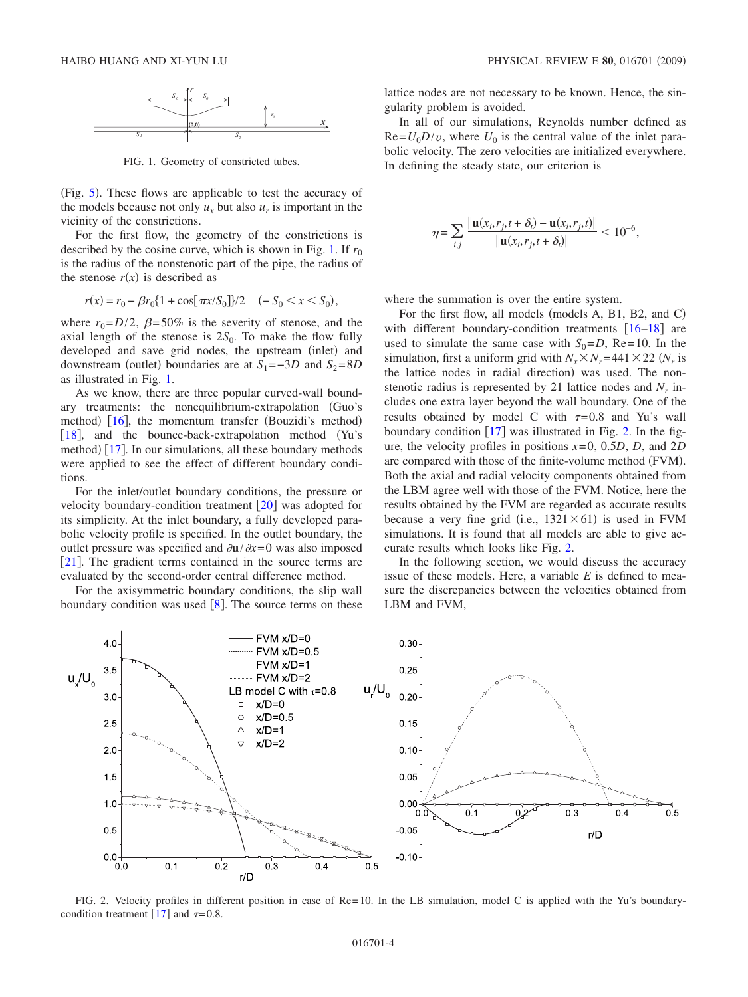<span id="page-3-0"></span>

FIG. 1. Geometry of constricted tubes.

(Fig. [5](#page-5-0)). These flows are applicable to test the accuracy of the models because not only  $u_x$  but also  $u_x$  is important in the vicinity of the constrictions.

For the first flow, the geometry of the constrictions is described by the cosine curve, which is shown in Fig. [1.](#page-3-0) If  $r_0$ is the radius of the nonstenotic part of the pipe, the radius of the stenose  $r(x)$  is described as

$$
r(x) = r_0 - \beta r_0 \{ 1 + \cos[\pi x / S_0] \} / 2 \quad (-S_0 < x < S_0),
$$

where  $r_0 = D/2$ ,  $\beta = 50\%$  is the severity of stenose, and the axial length of the stenose is  $2S_0$ . To make the flow fully developed and save grid nodes, the upstream (inlet) and downstream (outlet) boundaries are at  $S_1 = -3D$  and  $S_2 = 8D$ as illustrated in Fig. [1.](#page-3-0)

As we know, there are three popular curved-wall boundary treatments: the nonequilibrium-extrapolation Guo's method) [[16](#page-6-15)], the momentum transfer (Bouzidi's method) [[18](#page-6-16)], and the bounce-back-extrapolation method (Yu's method) [[17](#page-6-18)]. In our simulations, all these boundary methods were applied to see the effect of different boundary conditions.

For the inlet/outlet boundary conditions, the pressure or velocity boundary-condition treatment  $\lceil 20 \rceil$  $\lceil 20 \rceil$  $\lceil 20 \rceil$  was adopted for its simplicity. At the inlet boundary, a fully developed parabolic velocity profile is specified. In the outlet boundary, the outlet pressure was specified and  $\partial$ **u**/ $\partial$ *x*=0 was also imposed  $[21]$  $[21]$  $[21]$ . The gradient terms contained in the source terms are evaluated by the second-order central difference method.

For the axisymmetric boundary conditions, the slip wall boundary condition was used  $[8]$  $[8]$  $[8]$ . The source terms on these lattice nodes are not necessary to be known. Hence, the singularity problem is avoided.

In all of our simulations, Reynolds number defined as  $Re=U_0D/v$ , where  $U_0$  is the central value of the inlet parabolic velocity. The zero velocities are initialized everywhere. In defining the steady state, our criterion is

$$
\eta = \sum_{i,j} \frac{\|\mathbf{u}(x_i, r_j, t + \delta_t) - \mathbf{u}(x_i, r_j, t)\|}{\|\mathbf{u}(x_i, r_j, t + \delta_t)\|} < 10^{-6},
$$

where the summation is over the entire system.

For the first flow, all models (models A, B1, B2, and C) with different boundary-condition treatments  $[16–18]$  $[16–18]$  $[16–18]$  $[16–18]$  are used to simulate the same case with  $S_0 = D$ , Re= 10. In the simulation, first a uniform grid with  $N_r \times N_r = 441 \times 22$  ( $N_r$  is the lattice nodes in radial direction) was used. The nonstenotic radius is represented by 21 lattice nodes and  $N_r$  includes one extra layer beyond the wall boundary. One of the results obtained by model C with  $\tau = 0.8$  and Yu's wall boundary condition  $\lceil 17 \rceil$  $\lceil 17 \rceil$  $\lceil 17 \rceil$  was illustrated in Fig. [2.](#page-3-1) In the figure, the velocity profiles in positions *x*= 0, 0.5*D*, *D*, and 2*D* are compared with those of the finite-volume method (FVM). Both the axial and radial velocity components obtained from the LBM agree well with those of the FVM. Notice, here the results obtained by the FVM are regarded as accurate results because a very fine grid (i.e.,  $1321 \times 61$ ) is used in FVM simulations. It is found that all models are able to give accurate results which looks like Fig. [2.](#page-3-1)

In the following section, we would discuss the accuracy issue of these models. Here, a variable *E* is defined to measure the discrepancies between the velocities obtained from LBM and FVM,

<span id="page-3-1"></span>

FIG. 2. Velocity profiles in different position in case of Re= 10. In the LB simulation, model C is applied with the Yu's boundary-condition treatment [[17](#page-6-18)] and  $\tau = 0.8$ .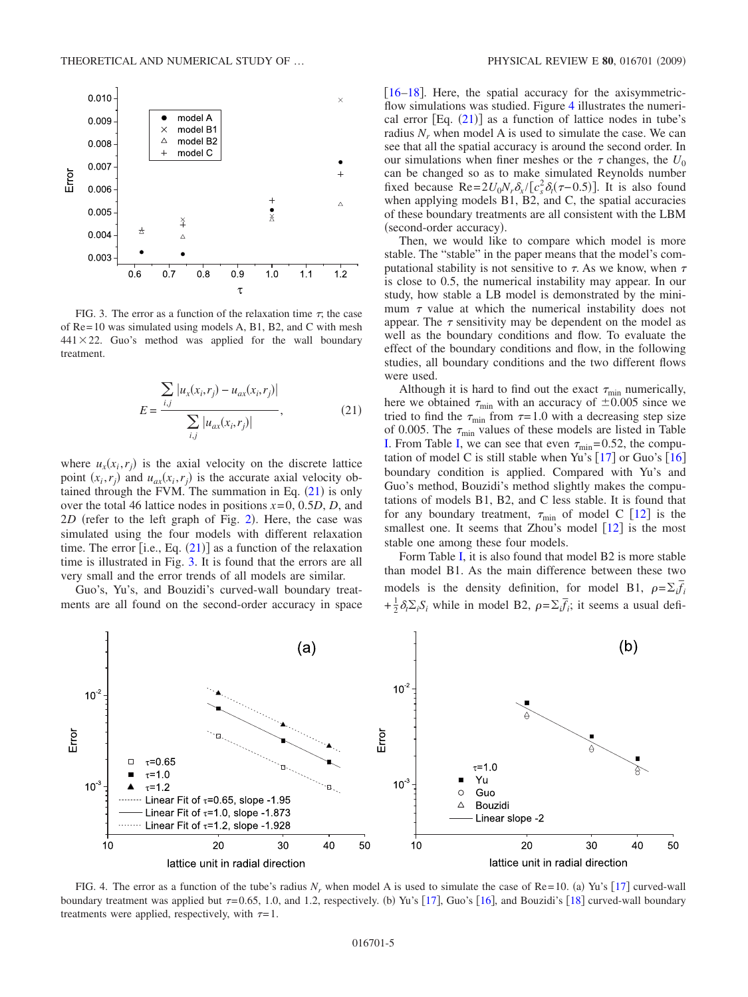<span id="page-4-1"></span>

FIG. 3. The error as a function of the relaxation time  $\tau$ , the case of Re= 10 was simulated using models A, B1, B2, and C with mesh  $441 \times 22$ . Guo's method was applied for the wall boundary treatment.

$$
E = \frac{\sum_{i,j} |u_x(x_i, r_j) - u_{ax}(x_i, r_j)|}{\sum_{i,j} |u_{ax}(x_i, r_j)|},
$$
\n(21)

<span id="page-4-0"></span>where  $u_x(x_i, r_j)$  is the axial velocity on the discrete lattice point  $(x_i, r_j)$  and  $u_{ax}(x_i, r_j)$  is the accurate axial velocity obtained through the FVM. The summation in Eq.  $(21)$  $(21)$  $(21)$  is only over the total 46 lattice nodes in positions *x*= 0, 0.5*D*, *D*, and  $2D$  $2D$  (refer to the left graph of Fig. 2). Here, the case was simulated using the four models with different relaxation time. The error  $[i.e., Eq. (21)]$  $[i.e., Eq. (21)]$  $[i.e., Eq. (21)]$  as a function of the relaxation time is illustrated in Fig. [3.](#page-4-1) It is found that the errors are all very small and the error trends of all models are similar.

Guo's, Yu's, and Bouzidi's curved-wall boundary treatments are all found on the second-order accuracy in space [[16](#page-6-15)[–18](#page-6-16)]. Here, the spatial accuracy for the axisymmetric-flow simulations was studied. Figure [4](#page-4-2) illustrates the numerical error  $[Eq. (21)]$  $[Eq. (21)]$  $[Eq. (21)]$  as a function of lattice nodes in tube's radius  $N_r$  when model A is used to simulate the case. We can see that all the spatial accuracy is around the second order. In our simulations when finer meshes or the  $\tau$  changes, the  $U_0$ can be changed so as to make simulated Reynolds number fixed because  $\text{Re} = 2U_0N_r\delta_x/ [c_s^2 \delta_t(\tau - 0.5)]$ . It is also found when applying models B1, B2, and C, the spatial accuracies of these boundary treatments are all consistent with the LBM (second-order accuracy).

Then, we would like to compare which model is more stable. The "stable" in the paper means that the model's computational stability is not sensitive to  $\tau$ . As we know, when  $\tau$ is close to 0.5, the numerical instability may appear. In our study, how stable a LB model is demonstrated by the minimum  $\tau$  value at which the numerical instability does not appear. The  $\tau$  sensitivity may be dependent on the model as well as the boundary conditions and flow. To evaluate the effect of the boundary conditions and flow, in the following studies, all boundary conditions and the two different flows were used.

Although it is hard to find out the exact  $\tau_{\min}$  numerically, here we obtained  $\tau_{\text{min}}$  with an accuracy of  $\pm 0.005$  since we tried to find the  $\tau_{\text{min}}$  from  $\tau = 1.0$  with a decreasing step size of 0.005. The  $\tau_{\text{min}}$  values of these models are listed in Table [I.](#page-5-1) From Table [I,](#page-5-1) we can see that even  $\tau_{\text{min}}$  = 0.52, the computation of model C is still stable when Yu's  $[17]$  $[17]$  $[17]$  or Guo's  $[16]$  $[16]$  $[16]$ boundary condition is applied. Compared with Yu's and Guo's method, Bouzidi's method slightly makes the computations of models B1, B2, and C less stable. It is found that for any boundary treatment,  $\tau_{\text{min}}$  of model C [[12](#page-6-5)] is the smallest one. It seems that Zhou's model  $\lceil 12 \rceil$  $\lceil 12 \rceil$  $\lceil 12 \rceil$  is the most stable one among these four models.

Form Table [I,](#page-5-1) it is also found that model B2 is more stable than model B1. As the main difference between these two models is the density definition, for model B1,  $\rho = \sum_i \vec{f_i}$  $+\frac{1}{2}\delta_t\Sigma_iS_i$  while in model B2,  $\rho = \Sigma_i\bar{f}_i$ ; it seems a usual defi-

<span id="page-4-2"></span>

FIG. 4. The error as a function of the tube's radius  $N_r$ , when model A is used to simulate the case of Re= 10. (a) Yu's [[17](#page-6-18)] curved-wall boundary treatment was applied but  $\tau = 0.65$ , 1.0, and 1.2, respectively. (b) Yu's [[17](#page-6-18)], Guo's [[16](#page-6-15)], and Bouzidi's [[18](#page-6-16)] curved-wall boundary treatments were applied, respectively, with  $\tau=1$ .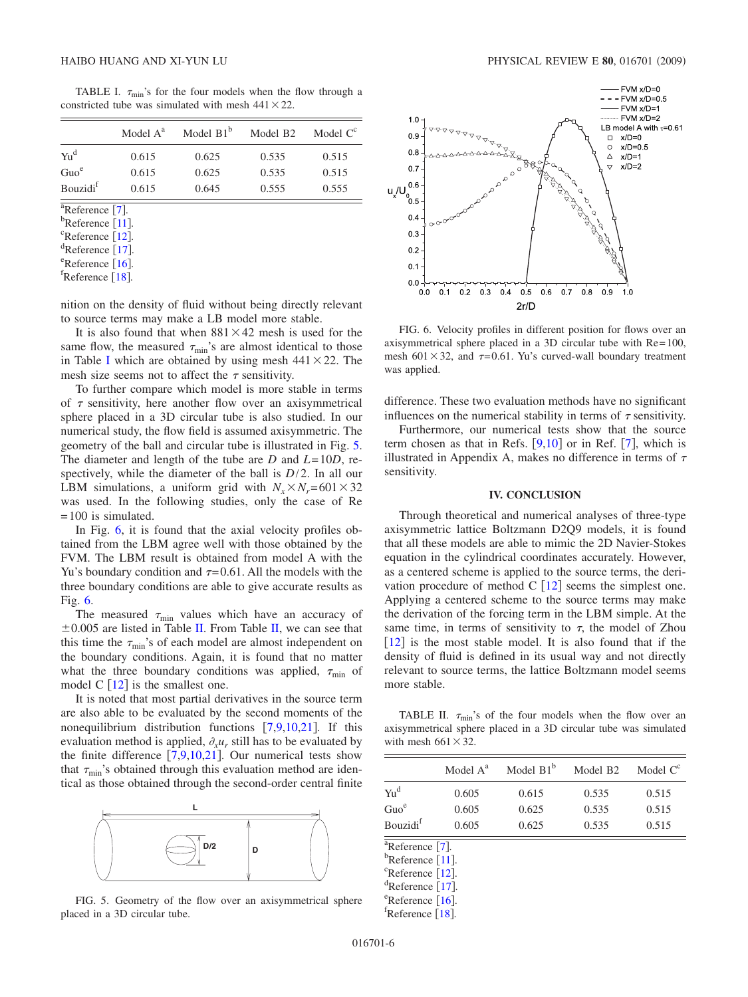TABLE I.  $\tau_{\text{min}}$ 's for the four models when the flow through a constricted tube was simulated with mesh  $441 \times 22$ .

<span id="page-5-1"></span>

|                                                                  | Model $A^a$ | Model $B1^b$ | Model B <sub>2</sub> | Model $C^c$ |
|------------------------------------------------------------------|-------------|--------------|----------------------|-------------|
| $Yu^d$                                                           | 0.615       | 0.625        | 0.535                | 0.515       |
| Guo <sup>e</sup>                                                 | 0.615       | 0.625        | 0.535                | 0.515       |
| <b>Bouzidi</b> f                                                 | 0.615       | 0.645        | 0.555                | 0.555       |
| $^{\overline{a}}$ Reference [7].<br>${}^{\rm b}$ Reference [11]. |             |              |                      |             |
| ${}^{\rm c}$ Reference [12].<br>${}^d$ Reference [17]            |             |              |                      |             |

<sup>u</sup>Reference [[17](#page-6-18)].<br><sup>e</sup>Reference [16]  $e^{\text{e}}$ Reference [[16](#page-6-15)].

 ${}^{f}$ Reference [[18](#page-6-16)].

nition on the density of fluid without being directly relevant to source terms may make a LB model more stable.

It is also found that when  $881 \times 42$  mesh is used for the same flow, the measured  $\tau_{\text{min}}$ 's are almost identical to those in Table [I](#page-5-1) which are obtained by using mesh  $441 \times 22$ . The mesh size seems not to affect the  $\tau$  sensitivity.

To further compare which model is more stable in terms of  $\tau$  sensitivity, here another flow over an axisymmetrical sphere placed in a 3D circular tube is also studied. In our numerical study, the flow field is assumed axisymmetric. The geometry of the ball and circular tube is illustrated in Fig. [5.](#page-5-0) The diameter and length of the tube are *D* and *L*= 10*D*, respectively, while the diameter of the ball is *D*/2. In all our LBM simulations, a uniform grid with  $N_x \times N_r = 601 \times 32$ was used. In the following studies, only the case of Re  $= 100$  is simulated.

In Fig. [6,](#page-5-2) it is found that the axial velocity profiles obtained from the LBM agree well with those obtained by the FVM. The LBM result is obtained from model A with the Yu's boundary condition and  $\tau = 0.61$ . All the models with the three boundary conditions are able to give accurate results as Fig. [6.](#page-5-2)

The measured  $\tau_{\min}$  values which have an accuracy of  $\pm 0.005$  are listed in Table [II.](#page-5-3) From Table [II,](#page-5-3) we can see that this time the  $\tau_{\text{min}}$ 's of each model are almost independent on the boundary conditions. Again, it is found that no matter what the three boundary conditions was applied,  $\tau_{\text{min}}$  of model C  $\lceil 12 \rceil$  $\lceil 12 \rceil$  $\lceil 12 \rceil$  is the smallest one.

It is noted that most partial derivatives in the source term are also able to be evaluated by the second moments of the nonequilibrium distribution functions  $[7,9,10,21]$  $[7,9,10,21]$  $[7,9,10,21]$  $[7,9,10,21]$  $[7,9,10,21]$  $[7,9,10,21]$ . If this evaluation method is applied,  $\partial_{x}u_{x}$  still has to be evaluated by the finite difference  $[7,9,10,21]$  $[7,9,10,21]$  $[7,9,10,21]$  $[7,9,10,21]$  $[7,9,10,21]$  $[7,9,10,21]$ . Our numerical tests show that  $\tau_{\min}$ 's obtained through this evaluation method are identical as those obtained through the second-order central finite

<span id="page-5-0"></span>

FIG. 5. Geometry of the flow over an axisymmetrical sphere placed in a 3D circular tube.

<span id="page-5-2"></span>

FIG. 6. Velocity profiles in different position for flows over an axisymmetrical sphere placed in a 3D circular tube with Re= 100, mesh 601 $\times$ 32, and  $\tau$ =0.61. Yu's curved-wall boundary treatment was applied.

difference. These two evaluation methods have no significant influences on the numerical stability in terms of  $\tau$  sensitivity.

Furthermore, our numerical tests show that the source term chosen as that in Refs.  $[9,10]$  $[9,10]$  $[9,10]$  $[9,10]$  or in Ref.  $[7]$  $[7]$  $[7]$ , which is illustrated in Appendix A, makes no difference in terms of  $\tau$ sensitivity.

### **IV. CONCLUSION**

Through theoretical and numerical analyses of three-type axisymmetric lattice Boltzmann D2Q9 models, it is found that all these models are able to mimic the 2D Navier-Stokes equation in the cylindrical coordinates accurately. However, as a centered scheme is applied to the source terms, the derivation procedure of method  $C$  [[12](#page-6-5)] seems the simplest one. Applying a centered scheme to the source terms may make the derivation of the forcing term in the LBM simple. At the same time, in terms of sensitivity to  $\tau$ , the model of Zhou  $[12]$  $[12]$  $[12]$  is the most stable model. It is also found that if the density of fluid is defined in its usual way and not directly relevant to source terms, the lattice Boltzmann model seems more stable.

<span id="page-5-3"></span>TABLE II.  $\tau_{\text{min}}$ 's of the four models when the flow over an axisymmetrical sphere placed in a 3D circular tube was simulated with mesh  $661\times32$ .

|                      | Model $A^a$ | Model $B1^b$ | Model B <sub>2</sub> | Model $C^c$ |
|----------------------|-------------|--------------|----------------------|-------------|
| Yu <sup>d</sup>      | 0.605       | 0.615        | 0.535                | 0.515       |
| Guo <sup>e</sup>     | 0.605       | 0.625        | 0.535                | 0.515       |
| Bouzidi <sup>f</sup> | 0.605       | 0.625        | 0.535                | 0.515       |

 $\frac{a}{b}$ Reference [[7](#page-6-6)].

 $b$ Reference [[11](#page-6-10)].

 ${}^{\text{c}}$ Reference [[12](#page-6-5)].

 ${}^{d}$ Reference [[17](#page-6-18)].

 $e^{\text{e}}$ Reference [[16](#page-6-15)].

 $^{\text{I}}$ Reference [[18](#page-6-16)].